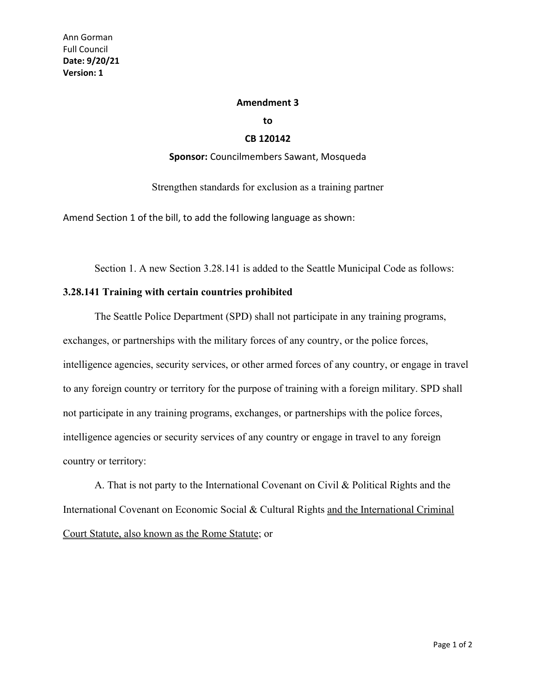## **Amendment 3**

**to**

## **CB 120142**

## **Sponsor:** Councilmembers Sawant, Mosqueda

Strengthen standards for exclusion as a training partner

Amend Section 1 of the bill, to add the following language as shown:

Section 1. A new Section 3.28.141 is added to the Seattle Municipal Code as follows:

## **3.28.141 Training with certain countries prohibited**

The Seattle Police Department (SPD) shall not participate in any training programs, exchanges, or partnerships with the military forces of any country, or the police forces, intelligence agencies, security services, or other armed forces of any country, or engage in travel to any foreign country or territory for the purpose of training with a foreign military. SPD shall not participate in any training programs, exchanges, or partnerships with the police forces, intelligence agencies or security services of any country or engage in travel to any foreign country or territory:

A. That is not party to the International Covenant on Civil & Political Rights and the International Covenant on Economic Social & Cultural Rights and the International Criminal Court Statute, also known as the Rome Statute; or